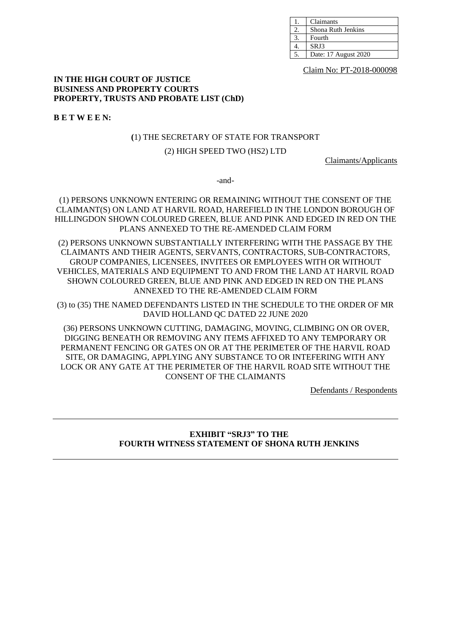| Claimants            |
|----------------------|
| Shona Ruth Jenkins   |
| Fourth               |
| SRJ3                 |
| Date: 17 August 2020 |

Claim No: PT-2018-000098

#### **IN THE HIGH COURT OF JUSTICE BUSINESS AND PROPERTY COURTS PROPERTY, TRUSTS AND PROBATE LIST (ChD)**

**B E T W E E N:**

#### **(**1) THE SECRETARY OF STATE FOR TRANSPORT

#### (2) HIGH SPEED TWO (HS2) LTD

Claimants/Applicants

-and-

(1) PERSONS UNKNOWN ENTERING OR REMAINING WITHOUT THE CONSENT OF THE CLAIMANT(S) ON LAND AT HARVIL ROAD, HAREFIELD IN THE LONDON BOROUGH OF HILLINGDON SHOWN COLOURED GREEN, BLUE AND PINK AND EDGED IN RED ON THE PLANS ANNEXED TO THE RE-AMENDED CLAIM FORM

(2) PERSONS UNKNOWN SUBSTANTIALLY INTERFERING WITH THE PASSAGE BY THE CLAIMANTS AND THEIR AGENTS, SERVANTS, CONTRACTORS, SUB-CONTRACTORS, GROUP COMPANIES, LICENSEES, INVITEES OR EMPLOYEES WITH OR WITHOUT VEHICLES, MATERIALS AND EQUIPMENT TO AND FROM THE LAND AT HARVIL ROAD SHOWN COLOURED GREEN, BLUE AND PINK AND EDGED IN RED ON THE PLANS ANNEXED TO THE RE-AMENDED CLAIM FORM

(3) to (35) THE NAMED DEFENDANTS LISTED IN THE SCHEDULE TO THE ORDER OF MR DAVID HOLLAND QC DATED 22 JUNE 2020

(36) PERSONS UNKNOWN CUTTING, DAMAGING, MOVING, CLIMBING ON OR OVER, DIGGING BENEATH OR REMOVING ANY ITEMS AFFIXED TO ANY TEMPORARY OR PERMANENT FENCING OR GATES ON OR AT THE PERIMETER OF THE HARVIL ROAD SITE, OR DAMAGING, APPLYING ANY SUBSTANCE TO OR INTEFERING WITH ANY LOCK OR ANY GATE AT THE PERIMETER OF THE HARVIL ROAD SITE WITHOUT THE CONSENT OF THE CLAIMANTS

Defendants / Respondents

### **EXHIBIT "SRJ3" TO THE FOURTH WITNESS STATEMENT OF SHONA RUTH JENKINS**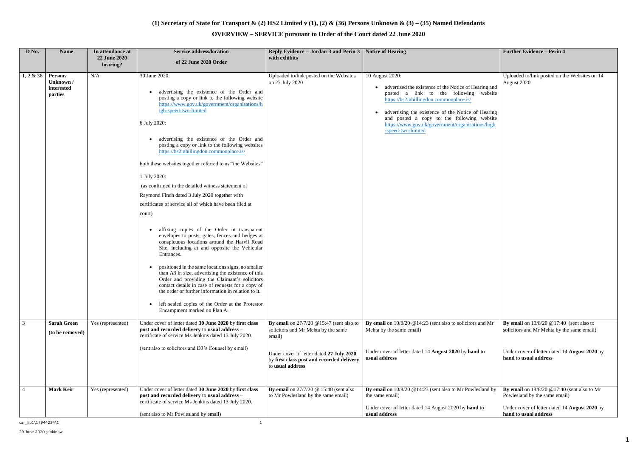## **(1) Secretary of State for Transport & (2) HS2 Limited v (1), (2) & (36) Persons Unknown & (3) – (35) Named Defendants**

# **OVERVIEW – SERVICE pursuant to Order of the Court dated 22 June 2020**

| D No.          | <b>Name</b>                                   | In attendance at<br>22 June 2020 | <b>Service address/location</b><br>of 22 June 2020 Order                                                                                                                                                                                                                                                                                                                                                                                                                                                                                                                                                                                                                                                                                                                                                                                                                                                                                                                                                                                                                                                                                                                                      | Reply Evidence – Jordan 3 and Perin $3 \mid$ Notice of Hearing<br>with exhibits                           |                                                                                                                                                                                                                                                                                                                                             | <b>Further Evidence - Perin 4</b>                                               |
|----------------|-----------------------------------------------|----------------------------------|-----------------------------------------------------------------------------------------------------------------------------------------------------------------------------------------------------------------------------------------------------------------------------------------------------------------------------------------------------------------------------------------------------------------------------------------------------------------------------------------------------------------------------------------------------------------------------------------------------------------------------------------------------------------------------------------------------------------------------------------------------------------------------------------------------------------------------------------------------------------------------------------------------------------------------------------------------------------------------------------------------------------------------------------------------------------------------------------------------------------------------------------------------------------------------------------------|-----------------------------------------------------------------------------------------------------------|---------------------------------------------------------------------------------------------------------------------------------------------------------------------------------------------------------------------------------------------------------------------------------------------------------------------------------------------|---------------------------------------------------------------------------------|
|                |                                               | hearing?                         |                                                                                                                                                                                                                                                                                                                                                                                                                                                                                                                                                                                                                                                                                                                                                                                                                                                                                                                                                                                                                                                                                                                                                                                               |                                                                                                           |                                                                                                                                                                                                                                                                                                                                             |                                                                                 |
| 1, 2 & 36      | Persons<br>Unknown /<br>interested<br>parties | N/A                              | 30 June 2020:<br>advertising the existence of the Order and<br>posting a copy or link to the following website<br>https://www.gov.uk/government/organisations/h<br>igh-speed-two-limited<br>6 July 2020:<br>advertising the existence of the Order and<br>posting a copy or link to the following websites<br>https://hs2inhillingdon.commonplace.is/<br>both these websites together referred to as "the Websites"<br>1 July 2020:<br>(as confirmed in the detailed witness statement of<br>Raymond Finch dated 3 July 2020 together with<br>certificates of service all of which have been filed at<br>court)<br>affixing copies of the Order in transparent<br>envelopes to posts, gates, fences and hedges at<br>conspicuous locations around the Harvil Road<br>Site, including at and opposite the Vehicular<br>Entrances.<br>positioned in the same locations signs, no smaller<br>than A3 in size, advertising the existence of this<br>Order and providing the Claimant's solicitors<br>contact details in case of requests for a copy of<br>the order or further information in relation to it.<br>left sealed copies of the Order at the Protestor<br>Encampment marked on Plan A. | Uploaded to/link posted on the Websites<br>on 27 July 2020                                                | 10 August 2020:<br>advertised the existence of the Notice of Hearing and<br>posted a link to the following website<br>https://hs2inhillingdon.commonplace.is/<br>advertising the existence of the Notice of Hearing<br>and posted a copy to the following website<br>https://www.gov.uk/government/organisations/high<br>-speed-two-limited | Uploaded to/link posted on the Websites on 14<br>August 2020                    |
| $\overline{3}$ | <b>Sarah Green</b>                            | Yes (represented)                | Under cover of letter dated 30 June 2020 by first class                                                                                                                                                                                                                                                                                                                                                                                                                                                                                                                                                                                                                                                                                                                                                                                                                                                                                                                                                                                                                                                                                                                                       | By email on $27/7/20$ @15:47 (sent also to                                                                | By email on $10/8/20$ @14:23 (sent also to solicitors and Mr                                                                                                                                                                                                                                                                                | By email on $13/8/20$ @ 17:40 (sent also to                                     |
|                | (to be removed)                               |                                  | post and recorded delivery to usual address -<br>certificate of service Ms Jenkins dated 13 July 2020.                                                                                                                                                                                                                                                                                                                                                                                                                                                                                                                                                                                                                                                                                                                                                                                                                                                                                                                                                                                                                                                                                        | solicitors and Mr Mehta by the same<br>email)                                                             | Mehta by the same email)                                                                                                                                                                                                                                                                                                                    | solicitors and Mr Mehta by the same email)                                      |
|                |                                               |                                  | (sent also to solicitors and D3's Counsel by email)                                                                                                                                                                                                                                                                                                                                                                                                                                                                                                                                                                                                                                                                                                                                                                                                                                                                                                                                                                                                                                                                                                                                           | Under cover of letter dated 27 July 2020<br>by first class post and recorded delivery<br>to usual address | Under cover of letter dated 14 August 2020 by hand to<br>usual address                                                                                                                                                                                                                                                                      | Under cover of letter dated 14 August 2020 by<br>hand to usual address          |
| $\overline{4}$ | <b>Mark Keir</b>                              | Yes (represented)                | Under cover of letter dated 30 June 2020 by first class<br>post and recorded delivery to usual address -<br>certificate of service Ms Jenkins dated 13 July 2020.                                                                                                                                                                                                                                                                                                                                                                                                                                                                                                                                                                                                                                                                                                                                                                                                                                                                                                                                                                                                                             | By email on $27/7/20$ @ 15:48 (sent also<br>to Mr Powlesland by the same email)                           | By email on $10/8/20$ @ 14:23 (sent also to Mr Powlesland by<br>the same email)                                                                                                                                                                                                                                                             | By email on $13/8/20$ @ 17:40 (sent also to Mr<br>Powlesland by the same email) |
|                |                                               |                                  | (sent also to Mr Powlesland by email)                                                                                                                                                                                                                                                                                                                                                                                                                                                                                                                                                                                                                                                                                                                                                                                                                                                                                                                                                                                                                                                                                                                                                         |                                                                                                           | Under cover of letter dated 14 August 2020 by hand to<br>usual address                                                                                                                                                                                                                                                                      | Under cover of letter dated 14 August 2020 by<br>hand to usual address          |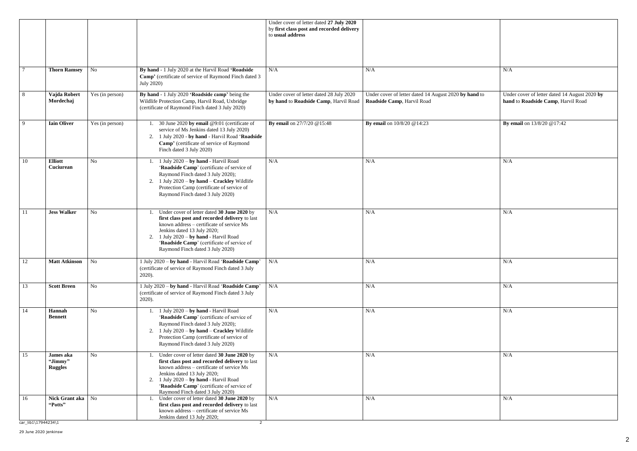|   | N/A                                                                                 |
|---|-------------------------------------------------------------------------------------|
|   |                                                                                     |
|   |                                                                                     |
| O | Under cover of letter dated 14 August 2020 by<br>hand to Roadside Camp, Harvil Road |
|   |                                                                                     |
|   | By email on 13/8/20 @17:42                                                          |
|   |                                                                                     |
|   |                                                                                     |
|   |                                                                                     |
|   | N/A                                                                                 |
|   |                                                                                     |
|   |                                                                                     |
|   |                                                                                     |
|   |                                                                                     |
|   | N/A                                                                                 |
|   |                                                                                     |
|   |                                                                                     |
|   |                                                                                     |
|   |                                                                                     |
|   | N/A                                                                                 |
|   |                                                                                     |
|   | $\rm N/A$                                                                           |
|   |                                                                                     |
|   | $\rm N/A$                                                                           |
|   |                                                                                     |
|   |                                                                                     |
|   |                                                                                     |
|   | N/A                                                                                 |
|   |                                                                                     |
|   |                                                                                     |
|   |                                                                                     |
|   |                                                                                     |
|   | N/A                                                                                 |
|   |                                                                                     |
|   |                                                                                     |

|     |                                        |                             |                                                                                                                                                                                                                                                                                                            | Under cover of letter dated 27 July 2020<br>by first class post and recorded delivery<br>to usual address |                                                                                     |                                                             |
|-----|----------------------------------------|-----------------------------|------------------------------------------------------------------------------------------------------------------------------------------------------------------------------------------------------------------------------------------------------------------------------------------------------------|-----------------------------------------------------------------------------------------------------------|-------------------------------------------------------------------------------------|-------------------------------------------------------------|
|     | <b>Thorn Ramsey</b>                    | No                          | By hand - 1 July 2020 at the Harvil Road 'Roadside<br>Camp' (certificate of service of Raymond Finch dated 3<br>July 2020)                                                                                                                                                                                 | N/A                                                                                                       | N/A                                                                                 | N/A                                                         |
| 8   | Vajda Robert<br>Mordechaj              | Yes (in person)             | By hand - 1 July 2020 'Roadside camp' being the<br>Wildlife Protection Camp, Harvil Road, Uxbridge<br>(certificate of Raymond Finch dated 3 July 2020)                                                                                                                                                     | Under cover of letter dated 28 July 2020<br>by hand to Roadside Camp, Harvil Road                         | Under cover of letter dated 14 August 2020 by hand to<br>Roadside Camp, Harvil Road | Under cover of letter dated 14<br>hand to Roadside Camp, Ha |
| - 9 | <b>Iain Oliver</b>                     | Yes (in person)             | 30 June 2020 by email @9:01 (certificate of<br>service of Ms Jenkins dated 13 July 2020)<br>1 July 2020 - by hand - Harvil Road 'Roadside<br>2.<br>Camp' (certificate of service of Raymond<br>Finch dated 3 July 2020)                                                                                    | By email on 27/7/20 @15:48                                                                                | By email on 10/8/20 @14:23                                                          | By email on 13/8/20 @17:42                                  |
| 10  | <b>Elliott</b><br>Cuciurean            | No                          | 1. 1 July 2020 - by hand - Harvil Road<br>'Roadside Camp' (certificate of service of<br>Raymond Finch dated 3 July 2020);<br>2. 1 July $2020 - by hand - Crackley$ Wildlife<br>Protection Camp (certificate of service of<br>Raymond Finch dated 3 July 2020)                                              | N/A                                                                                                       | N/A                                                                                 | N/A                                                         |
| 11  | <b>Jess Walker</b>                     | No                          | Under cover of letter dated 30 June 2020 by<br>first class post and recorded delivery to last<br>known address – certificate of service Ms<br>Jenkins dated 13 July 2020;<br>2. 1 July $2020 - by hand$ - Harvil Road<br>'Roadside Camp' (certificate of service of<br>Raymond Finch dated 3 July 2020)    | N/A                                                                                                       | N/A                                                                                 | N/A                                                         |
| -12 | <b>Matt Atkinson</b>                   | $\overline{\phantom{a}}$ No | 1 July 2020 - by hand - Harvil Road 'Roadside Camp'<br>(certificate of service of Raymond Finch dated 3 July<br>$2020$ ).                                                                                                                                                                                  | N/A                                                                                                       | N/A                                                                                 | N/A                                                         |
| 13  | <b>Scott Breen</b>                     | N <sub>o</sub>              | 1 July 2020 - by hand - Harvil Road 'Roadside Camp'<br>(certificate of service of Raymond Finch dated 3 July<br>$2020$ ).                                                                                                                                                                                  | N/A                                                                                                       | N/A                                                                                 | N/A                                                         |
| 14  | Hannah<br><b>Bennett</b>               | No                          | 1. 1 July $2020 - by hand$ - Harvil Road<br>'Roadside Camp' (certificate of service of<br>Raymond Finch dated 3 July 2020);<br>2. 1 July 2020 – by hand – Crackley Wildlife<br>Protection Camp (certificate of service of<br>Raymond Finch dated 3 July 2020)                                              | N/A                                                                                                       | N/A                                                                                 | N/A                                                         |
| 15  | James aka<br>"Jimmy"<br><b>Ruggles</b> | No                          | 1. Under cover of letter dated 30 June 2020 by<br>first class post and recorded delivery to last<br>known address - certificate of service Ms<br>Jenkins dated 13 July 2020;<br>2. 1 July $2020 - by hand$ - Harvil Road<br>'Roadside Camp' (certificate of service of<br>Raymond Finch dated 3 July 2020) | N/A                                                                                                       | N/A                                                                                 | N/A                                                         |
| 16  | Nick Grant aka<br>"Potts"              | N <sub>o</sub>              | 1. Under cover of letter dated 30 June 2020 by<br>first class post and recorded delivery to last<br>known address – certificate of service Ms<br>Jenkins dated 13 July 2020;                                                                                                                               | N/A                                                                                                       | N/A                                                                                 | N/A                                                         |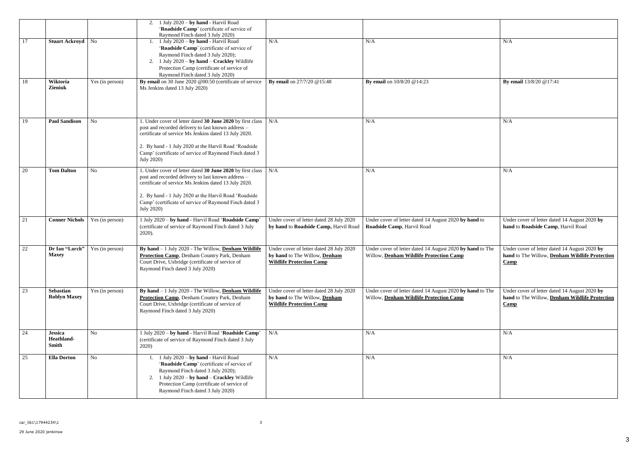|    |                                       |                 | 2. 1 July 2020 – by hand - Harvil Road<br>'Roadside Camp' (certificate of service of<br>Raymond Finch dated 3 July 2020)                                                                                                                                                                                          |                                                                                                              |                                                                                                      |                                                                            |
|----|---------------------------------------|-----------------|-------------------------------------------------------------------------------------------------------------------------------------------------------------------------------------------------------------------------------------------------------------------------------------------------------------------|--------------------------------------------------------------------------------------------------------------|------------------------------------------------------------------------------------------------------|----------------------------------------------------------------------------|
| 17 | Stuart Ackroyd   No                   |                 | 1. 1 July $2020 - by hand$ - Harvil Road<br>'Roadside Camp' (certificate of service of<br>Raymond Finch dated 3 July 2020);<br>2. 1 July $2020 - by hand - Crackley$ Wildlife<br>Protection Camp (certificate of service of<br>Raymond Finch dated 3 July 2020)                                                   | N/A                                                                                                          | N/A                                                                                                  | N/A                                                                        |
| 18 | Wiktoria<br><b>Zieniuk</b>            | Yes (in person) | By email on 30 June 2020 @00:50 (certificate of service<br>Ms Jenkins dated 13 July 2020)                                                                                                                                                                                                                         | By email on 27/7/20 @15:48                                                                                   | By email on 10/8/20 @14:23                                                                           | By email 13/8/20 @17:41                                                    |
| 19 | <b>Paul Sandison</b>                  | N <sub>o</sub>  | 1. Under cover of letter dated 30 June 2020 by first class<br>post and recorded delivery to last known address -<br>certificate of service Ms Jenkins dated 13 July 2020.<br>2. By hand - 1 July 2020 at the Harvil Road 'Roadside<br>Camp' (certificate of service of Raymond Finch dated 3<br><b>July 2020)</b> | N/A                                                                                                          | N/A                                                                                                  | N/A                                                                        |
| 20 | <b>Tom Dalton</b>                     | No              | 1. Under cover of letter dated 30 June 2020 by first class<br>post and recorded delivery to last known address -<br>certificate of service Ms Jenkins dated 13 July 2020.<br>2. By hand - 1 July 2020 at the Harvil Road 'Roadside<br>Camp' (certificate of service of Raymond Finch dated 3<br><b>July 2020)</b> | N/A                                                                                                          | N/A                                                                                                  | N/A                                                                        |
| 21 | <b>Conner Nichols</b>                 | Yes (in person) | 1 July 2020 - by hand - Harvil Road 'Roadside Camp'<br>(certificate of service of Raymond Finch dated 3 July<br>2020).                                                                                                                                                                                            | Under cover of letter dated 28 July 2020<br>by hand to Roadside Camp, Harvil Road                            | Under cover of letter dated 14 August 2020 by hand to<br>Roadside Camp, Harvil Road                  | Under cover of letter dated<br>hand to Roadside Camp,                      |
| 22 | Dr Ian "Larch"<br><b>Maxey</b>        | Yes (in person) | By hand $-1$ July 2020 - The Willow, Denham Wildlife<br>Protection Camp, Denham Country Park, Denham<br>Court Drive, Uxbridge (certificate of service of<br>Raymond Finch dated 3 July 2020)                                                                                                                      | Under cover of letter dated 28 July 2020<br>by hand to The Willow, Denham<br><b>Wildlife Protection Camp</b> | Under cover of letter dated 14 August 2020 by hand to The<br>Willow, Denham Wildlife Protection Camp | Under cover of letter dated<br>hand to The Willow, Denl<br>$\mathbf{Camp}$ |
| 23 | Sebastian<br><b>Roblyn Maxey</b>      | Yes (in person) | By hand $-1$ July 2020 - The Willow, Denham Wildlife<br><b>Protection Camp</b> , Denham Country Park, Denham<br>Court Drive, Uxbridge (certificate of service of<br>Raymond Finch dated 3 July 2020)                                                                                                              | Under cover of letter dated 28 July 2020<br>by hand to The Willow, Denham<br><b>Wildlife Protection Camp</b> | Under cover of letter dated 14 August 2020 by hand to The<br>Willow, Denham Wildlife Protection Camp | Under cover of letter dated<br>hand to The Willow, Denl<br>$\mathbf{Camp}$ |
| 24 | <b>Jessica</b><br>Heathland-<br>Smith | N <sub>o</sub>  | 1 July 2020 - by hand - Harvil Road 'Roadside Camp'<br>(certificate of service of Raymond Finch dated 3 July<br>2020)                                                                                                                                                                                             | N/A                                                                                                          | N/A                                                                                                  | N/A                                                                        |
| 25 | <b>Ella Dorton</b>                    | No              | 1 July 2020 - by hand - Harvil Road<br>'Roadside Camp' (certificate of service of<br>Raymond Finch dated 3 July 2020);<br>2. 1 July $2020 - by hand - Crackley$ Wildlife<br>Protection Camp (certificate of service of<br>Raymond Finch dated 3 July 2020)                                                        | N/A                                                                                                          | N/A                                                                                                  | N/A                                                                        |

|          | N/A                                                                                                     |
|----------|---------------------------------------------------------------------------------------------------------|
|          | By email 13/8/20 @17:41                                                                                 |
|          | N/A                                                                                                     |
|          | N/A                                                                                                     |
| l to     | Under cover of letter dated 14 August 2020 by<br>hand to Roadside Camp, Harvil Road                     |
| I to The | Under cover of letter dated 14 August 2020 by<br>hand to The Willow, Denham Wildlife Protection<br>Camp |
| I to The | Under cover of letter dated 14 August 2020 by<br>hand to The Willow, Denham Wildlife Protection<br>Camp |
|          | N/A                                                                                                     |
|          | N/A                                                                                                     |